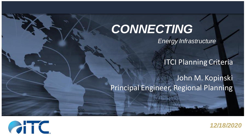#### *Energy Infrastructure CONNECTING*

ITCI Planning Criteria

John M. Kopinski Principal Engineer, Regional Planning



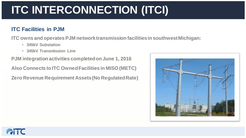## **ITC INTERCONNECTION (ITCI)**

#### **ITC Facilities in PJM**

**ITC owns and operates PJM network transmission facilities in southwest Michigan:**

- **345kV Substation**
- **345kV Transmission Line**

**PJM integration activities completed on June 1, 2016**

**Also Connects to ITC Owned Facilities in MISO (METC)**

**Zero Revenue Requirement Assets (No Regulated Rate)**



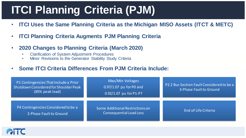#### **ITCI Planning Criteria (PJM)**

- **ITCI Uses the Same Planning Criteria as the Michigan MISO Assets (ITCT & METC)**
- **ITCI Planning Criteria Augments PJM Planning Criteria**
- **2020 Changes to Planning Criteria (March 2020)**
	- Clarification of System Adjustment Procedures
	- Minor Revisions to the Generator Stability Study Criteria
- **Some ITCI Criteria Differences From PJM Criteria Include:**

| P1 Contingencies That Include a Prior<br>Shutdown Considered for Shoulder Peak<br>(85% peak load) | Max/Min Voltages<br>0.97/1.07 pu for PO and<br>0.92/1.07 pu for P1-P7 | P2.2 Bus Section Fault Considered to be a<br>3-Phase Fault to Ground |
|---------------------------------------------------------------------------------------------------|-----------------------------------------------------------------------|----------------------------------------------------------------------|
| P4 Contingencies Considered to be a<br>2-Phase Fault to Ground                                    | Some Additional Restrictions on<br><b>Consequential Load Loss</b>     | End of Life Criteria                                                 |

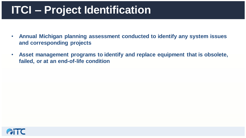#### **ITCI – Project Identification**

- **Annual Michigan planning assessment conducted to identify any system issues and corresponding projects**
- **Asset management programs to identify and replace equipment that is obsolete, failed, or at an end-of-life condition**

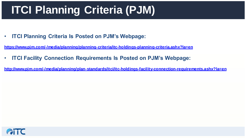## **ITCI Planning Criteria (PJM)**

• **ITCI Planning Criteria Is Posted on PJM's Webpage:**

**<https://www.pjm.com/-/media/planning/planning-criteria/itc-holdings-planning-criteria.ashx?la=en>**

• **ITCI Facility Connection Requirements Is Posted on PJM's Webpage:**

**<http://www.pjm.com/-/media/planning/plan-standards/itci/itc-holdings-facility-connection-requirements.ashx?la=en>**